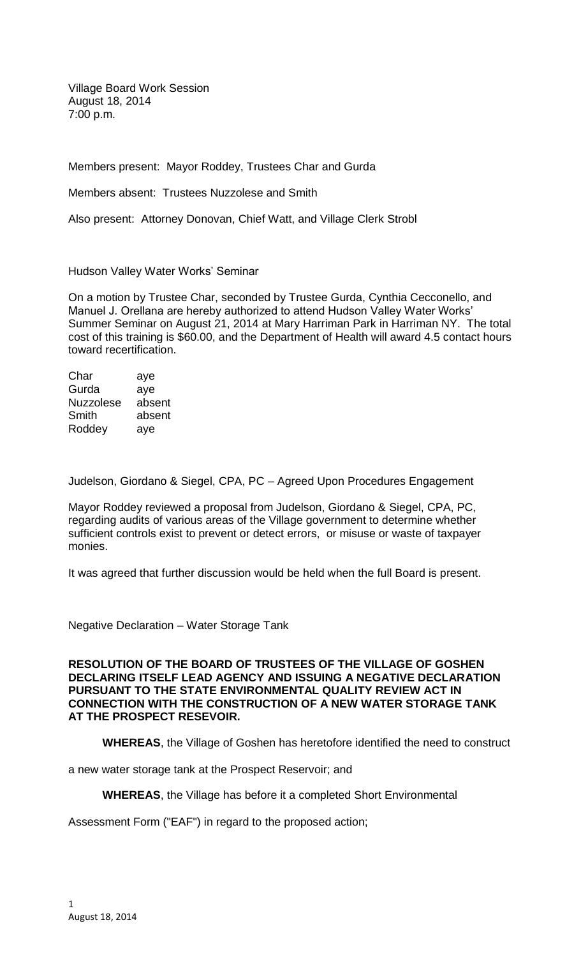Village Board Work Session August 18, 2014 7:00 p.m.

Members present: Mayor Roddey, Trustees Char and Gurda

Members absent: Trustees Nuzzolese and Smith

Also present: Attorney Donovan, Chief Watt, and Village Clerk Strobl

Hudson Valley Water Works' Seminar

On a motion by Trustee Char, seconded by Trustee Gurda, Cynthia Cecconello, and Manuel J. Orellana are hereby authorized to attend Hudson Valley Water Works' Summer Seminar on August 21, 2014 at Mary Harriman Park in Harriman NY. The total cost of this training is \$60.00, and the Department of Health will award 4.5 contact hours toward recertification.

| Char             | aye    |
|------------------|--------|
| Gurda            | aye    |
| <b>Nuzzolese</b> | absent |
| Smith            | absent |
| Roddey           | aye    |

Judelson, Giordano & Siegel, CPA, PC – Agreed Upon Procedures Engagement

Mayor Roddey reviewed a proposal from Judelson, Giordano & Siegel, CPA, PC, regarding audits of various areas of the Village government to determine whether sufficient controls exist to prevent or detect errors, or misuse or waste of taxpayer monies.

It was agreed that further discussion would be held when the full Board is present.

Negative Declaration – Water Storage Tank

**RESOLUTION OF THE BOARD OF TRUSTEES OF THE VILLAGE OF GOSHEN DECLARING ITSELF LEAD AGENCY AND ISSUING A NEGATIVE DECLARATION PURSUANT TO THE STATE ENVIRONMENTAL QUALITY REVIEW ACT IN CONNECTION WITH THE CONSTRUCTION OF A NEW WATER STORAGE TANK AT THE PROSPECT RESEVOIR.** 

**WHEREAS**, the Village of Goshen has heretofore identified the need to construct

a new water storage tank at the Prospect Reservoir; and

**WHEREAS**, the Village has before it a completed Short Environmental

Assessment Form ("EAF") in regard to the proposed action;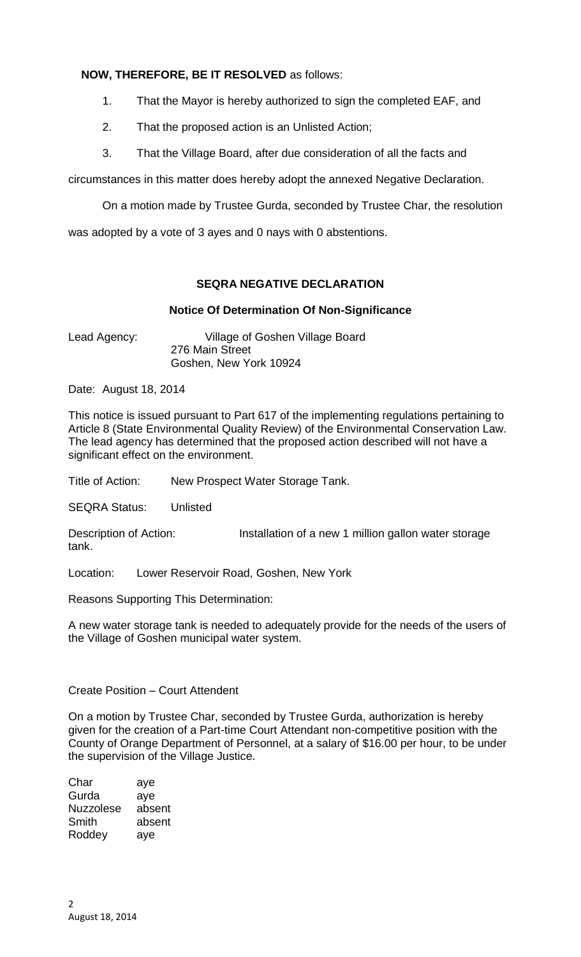# **NOW, THEREFORE, BE IT RESOLVED** as follows:

- 1. That the Mayor is hereby authorized to sign the completed EAF, and
- 2. That the proposed action is an Unlisted Action;
- 3. That the Village Board, after due consideration of all the facts and

circumstances in this matter does hereby adopt the annexed Negative Declaration.

On a motion made by Trustee Gurda, seconded by Trustee Char, the resolution

was adopted by a vote of 3 ayes and 0 nays with 0 abstentions.

### **SEQRA NEGATIVE DECLARATION**

### **Notice Of Determination Of Non-Significance**

Lead Agency: Village of Goshen Village Board 276 Main Street Goshen, New York 10924

Date: August 18, 2014

This notice is issued pursuant to Part 617 of the implementing regulations pertaining to Article 8 (State Environmental Quality Review) of the Environmental Conservation Law. The lead agency has determined that the proposed action described will not have a significant effect on the environment.

Title of Action: New Prospect Water Storage Tank.

SEQRA Status: Unlisted

Description of Action: Installation of a new 1 million gallon water storage tank.

Location: Lower Reservoir Road, Goshen, New York

Reasons Supporting This Determination:

A new water storage tank is needed to adequately provide for the needs of the users of the Village of Goshen municipal water system.

## Create Position – Court Attendent

On a motion by Trustee Char, seconded by Trustee Gurda, authorization is hereby given for the creation of a Part-time Court Attendant non-competitive position with the County of Orange Department of Personnel, at a salary of \$16.00 per hour, to be under the supervision of the Village Justice.

| aye    |
|--------|
| ave    |
| absent |
| absent |
| ave    |
|        |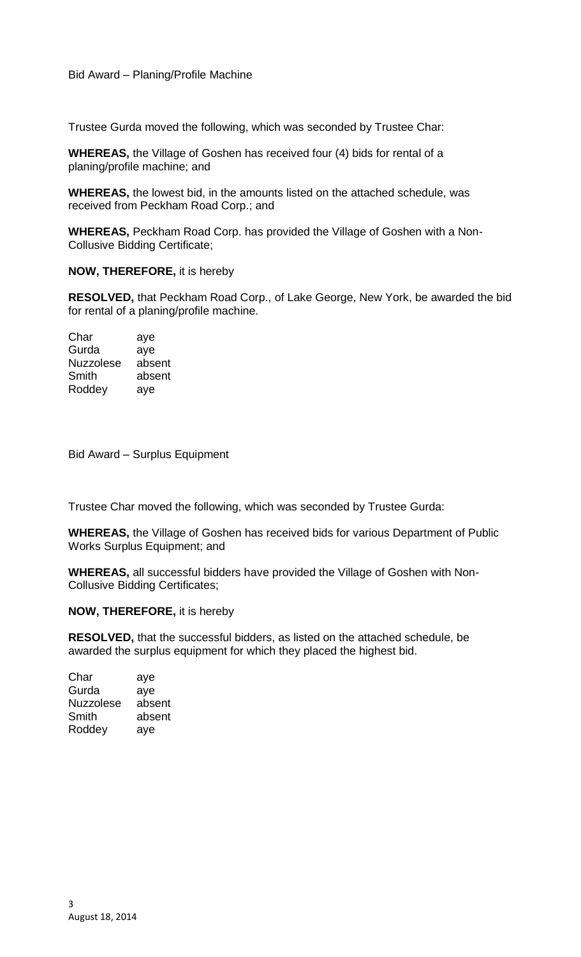Trustee Gurda moved the following, which was seconded by Trustee Char:

**WHEREAS,** the Village of Goshen has received four (4) bids for rental of a planing/profile machine; and

**WHEREAS,** the lowest bid, in the amounts listed on the attached schedule, was received from Peckham Road Corp.; and

**WHEREAS,** Peckham Road Corp. has provided the Village of Goshen with a Non-Collusive Bidding Certificate;

**NOW, THEREFORE,** it is hereby

**RESOLVED,** that Peckham Road Corp., of Lake George, New York, be awarded the bid for rental of a planing/profile machine.

Char aye<br>Gurda aye Gurda Nuzzolese absent Smith absent Roddey aye

Bid Award – Surplus Equipment

Trustee Char moved the following, which was seconded by Trustee Gurda:

**WHEREAS,** the Village of Goshen has received bids for various Department of Public Works Surplus Equipment; and

**WHEREAS,** all successful bidders have provided the Village of Goshen with Non-Collusive Bidding Certificates;

#### **NOW, THEREFORE,** it is hereby

**RESOLVED,** that the successful bidders, as listed on the attached schedule, be awarded the surplus equipment for which they placed the highest bid.

| Char      | aye    |
|-----------|--------|
| Gurda     | aye    |
| Nuzzolese | absent |
| Smith     | absent |
| Roddey    | aye    |